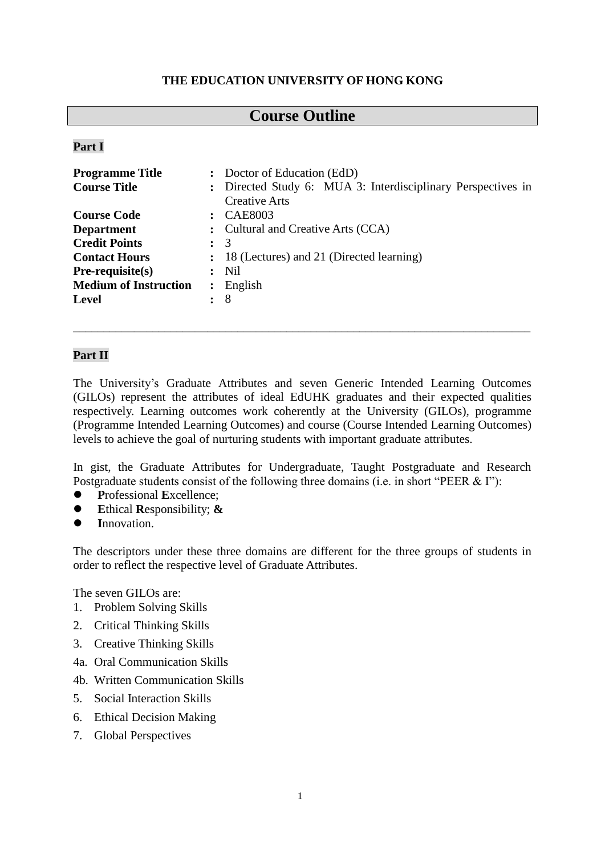## **THE EDUCATION UNIVERSITY OF HONG KONG**

# **Course Outline**

#### **Part I**

| <b>Programme Title</b><br><b>Course Title</b> |                      | : Doctor of Education (EdD)<br>: Directed Study 6: MUA 3: Interdisciplinary Perspectives in<br><b>Creative Arts</b> |  |  |
|-----------------------------------------------|----------------------|---------------------------------------------------------------------------------------------------------------------|--|--|
| <b>Course Code</b>                            | $\ddot{\phantom{a}}$ | <b>CAE8003</b>                                                                                                      |  |  |
| <b>Department</b>                             |                      | : Cultural and Creative Arts (CCA)                                                                                  |  |  |
| <b>Credit Points</b>                          |                      | $\colon$ 3                                                                                                          |  |  |
| <b>Contact Hours</b>                          |                      | 18 (Lectures) and 21 (Directed learning)                                                                            |  |  |
| $Pre-requisite(s)$                            |                      | Nil                                                                                                                 |  |  |
| <b>Medium of Instruction</b>                  | $\ddot{\phantom{a}}$ | English                                                                                                             |  |  |
| <b>Level</b>                                  |                      | - 8                                                                                                                 |  |  |

## **Part II**

The University's Graduate Attributes and seven Generic Intended Learning Outcomes (GILOs) represent the attributes of ideal EdUHK graduates and their expected qualities respectively. Learning outcomes work coherently at the University (GILOs), programme (Programme Intended Learning Outcomes) and course (Course Intended Learning Outcomes) levels to achieve the goal of nurturing students with important graduate attributes.

\_\_\_\_\_\_\_\_\_\_\_\_\_\_\_\_\_\_\_\_\_\_\_\_\_\_\_\_\_\_\_\_\_\_\_\_\_\_\_\_\_\_\_\_\_\_\_\_\_\_\_\_\_\_\_\_\_\_\_\_\_\_\_\_\_\_\_\_\_\_\_\_\_\_\_

In gist, the Graduate Attributes for Undergraduate, Taught Postgraduate and Research Postgraduate students consist of the following three domains (i.e. in short "PEER & I"):

- **P**rofessional **E**xcellence;
- **E**thical **R**esponsibility; **&**
- **I**nnovation.

The descriptors under these three domains are different for the three groups of students in order to reflect the respective level of Graduate Attributes.

The seven GILOs are:

- 1. Problem Solving Skills
- 2. Critical Thinking Skills
- 3. Creative Thinking Skills
- 4a. Oral Communication Skills
- 4b. Written Communication Skills
- 5. Social Interaction Skills
- 6. Ethical Decision Making
- 7. Global Perspectives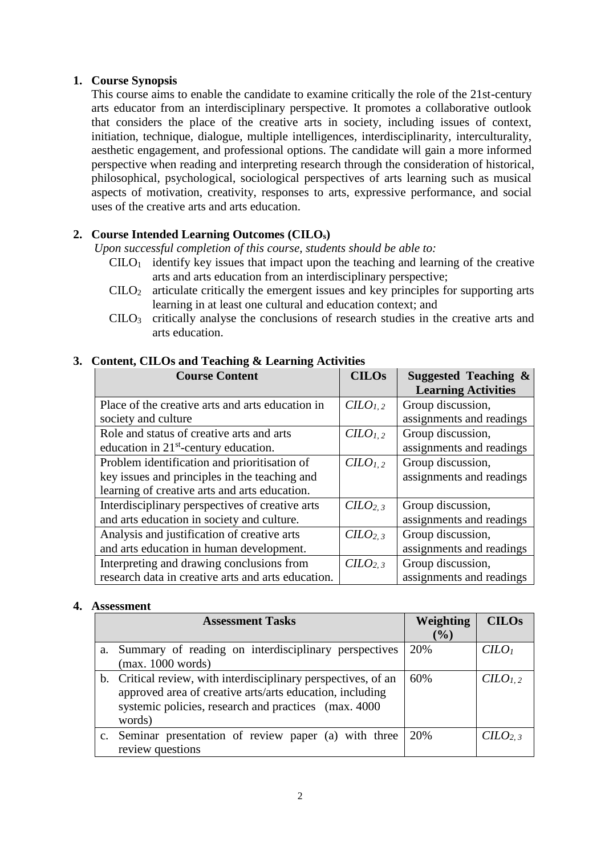## **1. Course Synopsis**

This course aims to enable the candidate to examine critically the role of the 21st-century arts educator from an interdisciplinary perspective. It promotes a collaborative outlook that considers the place of the creative arts in society, including issues of context, initiation, technique, dialogue, multiple intelligences, interdisciplinarity, interculturality, aesthetic engagement, and professional options. The candidate will gain a more informed perspective when reading and interpreting research through the consideration of historical, philosophical, psychological, sociological perspectives of arts learning such as musical aspects of motivation, creativity, responses to arts, expressive performance, and social uses of the creative arts and arts education.

# **2. Course Intended Learning Outcomes (CILOs)**

*Upon successful completion of this course, students should be able to:* 

- $C I L O<sub>1</sub>$  identify key issues that impact upon the teaching and learning of the creative arts and arts education from an interdisciplinary perspective;
- $\text{CHO}_2$  articulate critically the emergent issues and key principles for supporting arts learning in at least one cultural and education context; and
- $CHO<sub>3</sub>$  critically analyse the conclusions of research studies in the creative arts and arts education.

| <b>Course Content</b>                              | <b>CILOs</b>                | Suggested Teaching $\&$<br><b>Learning Activities</b> |
|----------------------------------------------------|-----------------------------|-------------------------------------------------------|
| Place of the creative arts and arts education in   | C <i>LO</i> <sub>1,2</sub>  | Group discussion,                                     |
| society and culture                                |                             | assignments and readings                              |
| Role and status of creative arts and arts          | C <i>LO</i> <sub>1, 2</sub> | Group discussion,                                     |
| education in 21 <sup>st</sup> -century education.  |                             | assignments and readings                              |
| Problem identification and prioritisation of       | C <i>LO</i> <sub>1,2</sub>  | Group discussion,                                     |
| key issues and principles in the teaching and      |                             | assignments and readings                              |
| learning of creative arts and arts education.      |                             |                                                       |
| Interdisciplinary perspectives of creative arts    | CILO <sub>2,3</sub>         | Group discussion,                                     |
| and arts education in society and culture.         |                             | assignments and readings                              |
| Analysis and justification of creative arts        | C <sub>2.3</sub>            | Group discussion,                                     |
| and arts education in human development.           |                             | assignments and readings                              |
| Interpreting and drawing conclusions from          | C <sub>2.3</sub>            | Group discussion,                                     |
| research data in creative arts and arts education. |                             | assignments and readings                              |

# **3. Content, CILOs and Teaching & Learning Activities**

### **4. Assessment**

|    | <b>Assessment Tasks</b>                                                                                                                                                                       | Weighting | <b>CILOs</b>                  |
|----|-----------------------------------------------------------------------------------------------------------------------------------------------------------------------------------------------|-----------|-------------------------------|
|    |                                                                                                                                                                                               | $(\%)$    |                               |
| a. | Summary of reading on interdisciplinary perspectives                                                                                                                                          | 20%       | $C$                           |
|    | (max. 1000 words)                                                                                                                                                                             |           |                               |
|    | b. Critical review, with interdisciplinary perspectives, of an<br>approved area of creative arts/arts education, including<br>systemic policies, research and practices (max. 4000)<br>words) | 60%       | $CLOL2$                       |
|    | Seminar presentation of review paper (a) with three<br>review questions                                                                                                                       | 20%       | C <sub>LO<sub>2,3</sub></sub> |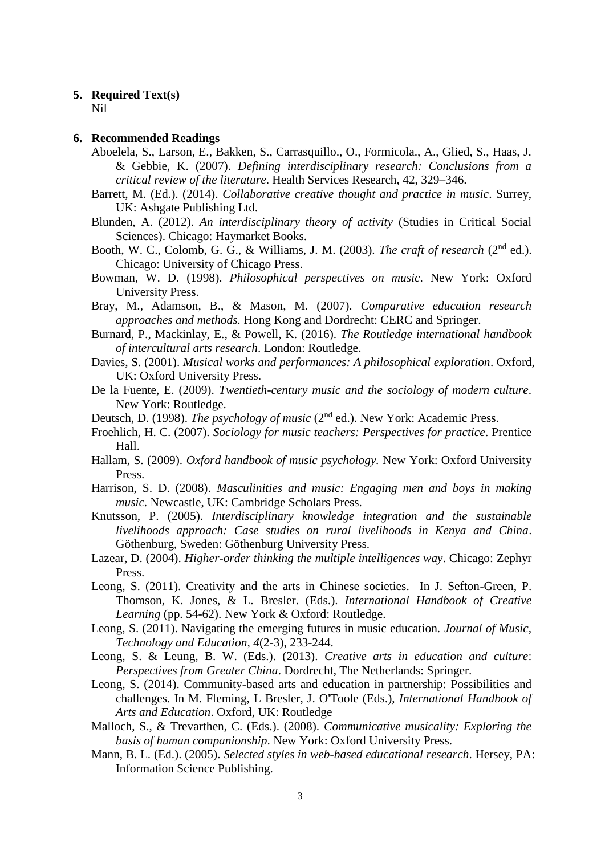## **5. Required Text(s)**

Nil

#### **6. Recommended Readings**

- Aboelela, S., Larson, E., Bakken, S., Carrasquillo., O., Formicola., A., Glied, S., Haas, J. & Gebbie, K. (2007). *Defining interdisciplinary research: Conclusions from a critical review of the literature*. Health Services Research, 42, 329–346.
- Barrett, M. (Ed.). (2014). *Collaborative creative thought and practice in music*. Surrey, UK: Ashgate Publishing Ltd.
- Blunden, A. (2012). *An interdisciplinary theory of activity* (Studies in Critical Social Sciences). Chicago: Haymarket Books.
- Booth, W. C., Colomb, G. G., & Williams, J. M. (2003). *The craft of research* (2nd ed.). Chicago: University of Chicago Press.
- Bowman, W. D. (1998). *Philosophical perspectives on music*. New York: Oxford University Press.
- Bray, M., Adamson, B., & Mason, M. (2007). *Comparative education research approaches and methods.* Hong Kong and Dordrecht: CERC and Springer.
- Burnard, P., Mackinlay, E., & Powell, K. (2016). *The Routledge international handbook of intercultural arts research*. London: Routledge.
- Davies, S. (2001). *Musical works and performances: A philosophical exploration*. Oxford, UK: Oxford University Press.
- De la Fuente, E. (2009). *Twentieth-century music and the sociology of modern culture*. New York: Routledge.
- Deutsch, D. (1998). *The psychology of music* (2nd ed.). New York: Academic Press.
- Froehlich, H. C. (2007). *Sociology for music teachers: Perspectives for practice*. Prentice Hall.
- Hallam, S. (2009). *Oxford handbook of music psychology.* New York: Oxford University Press.
- Harrison, S. D. (2008). *Masculinities and music: Engaging men and boys in making music*. Newcastle, UK: Cambridge Scholars Press.
- Knutsson, P. (2005). *Interdisciplinary knowledge integration and the sustainable livelihoods approach: Case studies on rural livelihoods in Kenya and China*. Göthenburg, Sweden: Göthenburg University Press.
- Lazear, D. (2004). *Higher-order thinking the multiple intelligences way*. Chicago: Zephyr Press.
- Leong, S. (2011). Creativity and the arts in Chinese societies. In J. Sefton-Green, P. Thomson, K. Jones, & L. Bresler. (Eds.). *International Handbook of Creative Learning* (pp. 54-62). New York & Oxford: Routledge.
- Leong, S. (2011). Navigating the emerging futures in music education. *Journal of Music, Technology and Education, 4*(2-3), 233-244.
- Leong, S. & Leung, B. W. (Eds.). (2013). *Creative arts in education and culture*: *Perspectives from Greater China*. Dordrecht, The Netherlands: Springer.
- Leong, S. (2014). Community-based arts and education in partnership: Possibilities and challenges. In M. Fleming, L Bresler, J. O'Toole (Eds.), *International Handbook of Arts and Education*. Oxford, UK: Routledge
- Malloch, S., & Trevarthen, C. (Eds.). (2008). *Communicative musicality: Exploring the basis of human companionship*. New York: Oxford University Press.
- Mann, B. L. (Ed.). (2005). *Selected styles in web-based educational research*. Hersey, PA: Information Science Publishing.